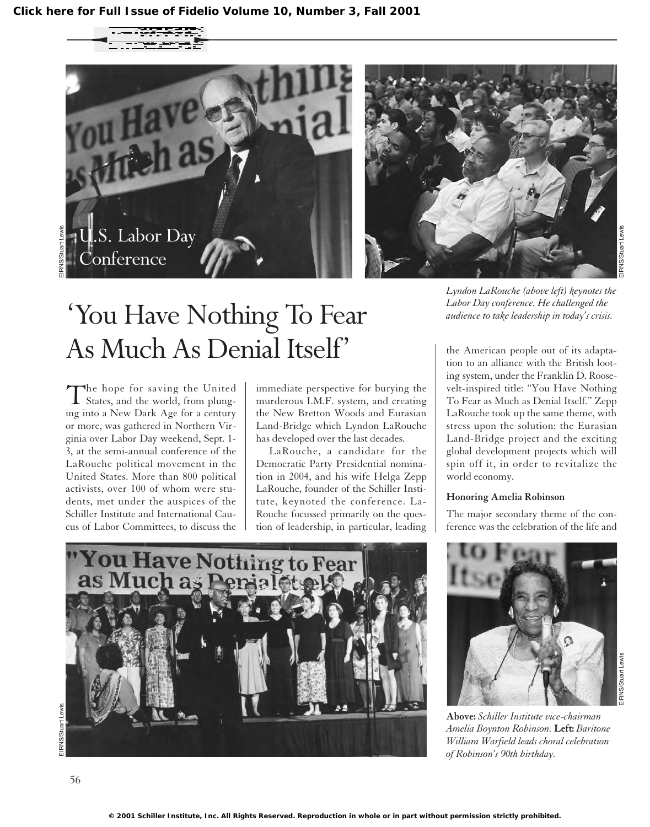





## 'You Have Nothing To Fear As Much As Denial Itself'

The hope for saving the United States, and the world, from plunging into a New Dark Age for a century or more, was gathered in Northern Virginia over Labor Day weekend, Sept. 1- 3, at the semi-annual conference of the LaRouche political movement in the United States. More than 800 political activists, over 100 of whom were students, met under the auspices of the Schiller Institute and International Caucus of Labor Committees, to discuss the

immediate perspective for burying the murderous I.M.F. system, and creating the New Bretton Woods and Eurasian Land-Bridge which Lyndon LaRouche has developed over the last decades.

LaRouche, a candidate for the Democratic Party Presidential nomination in 2004, and his wife Helga Zepp LaRouche, founder of the Schiller Institute, keynoted the conference. La-Rouche focussed primarily on the question of leadership, in particular, leading



the American people out of its adaptation to an alliance with the British looting system, under the Franklin D. Roosevelt-inspired title: "You Have Nothing To Fear as Much as Denial Itself." Zepp LaRouche took up the same theme, with stress upon the solution: the Eurasian Land-Bridge project and the exciting global development projects which will spin off it, in order to revitalize the world economy.

#### **Honoring Amelia Robinson**

The major secondary theme of the conference was the celebration of the life and





**Above:** *Schiller Institute vice-chairman Amelia Boynton Robinson.* **Left:** *Baritone William Warfield leads choral celebration of Robinson's 90th birthday.*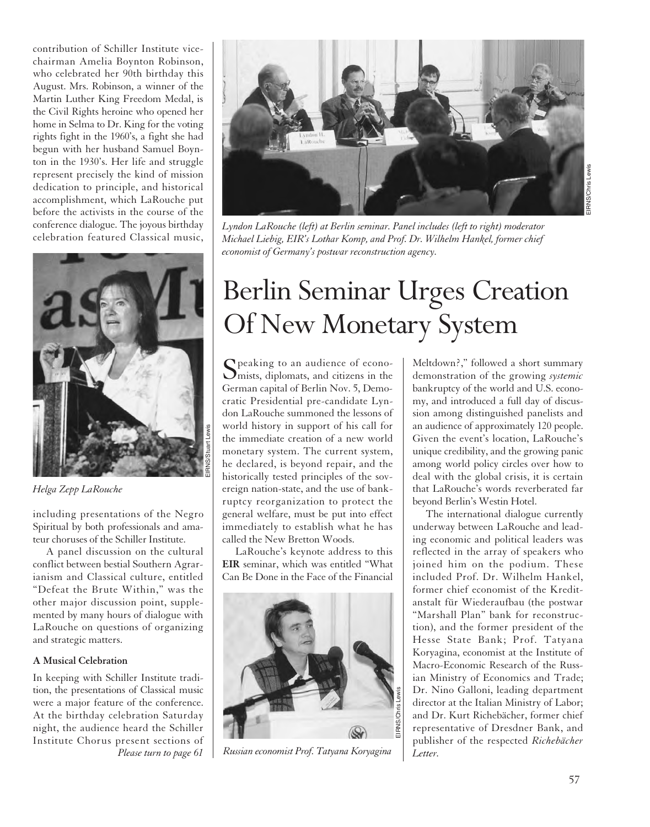contribution of Schiller Institute vicechairman Amelia Boynton Robinson, who celebrated her 90th birthday this August. Mrs. Robinson, a winner of the Martin Luther King Freedom Medal, is the Civil Rights heroine who opened her home in Selma to Dr. King for the voting rights fight in the 1960's, a fight she had begun with her husband Samuel Boynton in the 1930's. Her life and struggle represent precisely the kind of mission dedication to principle, and historical accomplishment, which LaRouche put before the activists in the course of the conference dialogue. The joyous birthday celebration featured Classical music,



*Helga Zepp LaRouche*

including presentations of the Negro Spiritual by both professionals and amateur choruses of the Schiller Institute.

A panel discussion on the cultural conflict between bestial Southern Agrarianism and Classical culture, entitled "Defeat the Brute Within," was the other major discussion point, supplemented by many hours of dialogue with LaRouche on questions of organizing and strategic matters.

### **A Musical Celebration**

In keeping with Schiller Institute tradition, the presentations of Classical music were a major feature of the conference. At the birthday celebration Saturday night, the audience heard the Schiller Institute Chorus present sections of *Please turn to page 61*



*Lyndon LaRouche (left) at Berlin seminar. Panel includes (left to right) moderator Michael Liebig, EIR's Lothar Komp, and Prof. Dr. Wilhelm Hankel, former chief economist of Germany's postwar reconstruction agency.*

# Berlin Seminar Urges Creation Of New Monetary System

 $\Omega$  peaking to an audience of econo- $\sum$  mists, diplomats, and citizens in the German capital of Berlin Nov. 5, Democratic Presidential pre-candidate Lyndon LaRouche summoned the lessons of world history in support of his call for the immediate creation of a new world monetary system. The current system, he declared, is beyond repair, and the historically tested principles of the sovereign nation-state, and the use of bankruptcy reorganization to protect the general welfare, must be put into effect immediately to establish what he has called the New Bretton Woods.

LaRouche's keynote address to this **EIR** seminar, which was entitled "What Can Be Done in the Face of the Financial



*Russian economist Prof. Tatyana Koryagina*

Meltdown?," followed a short summary demonstration of the growing *systemic* bankruptcy of the world and U.S. economy, and introduced a full day of discussion among distinguished panelists and an audience of approximately 120 people. Given the event's location, LaRouche's unique credibility, and the growing panic among world policy circles over how to deal with the global crisis, it is certain that LaRouche's words reverberated far beyond Berlin's Westin Hotel.

The international dialogue currently underway between LaRouche and leading economic and political leaders was reflected in the array of speakers who joined him on the podium. These included Prof. Dr. Wilhelm Hankel, former chief economist of the Kreditanstalt für Wiederaufbau (the postwar "Marshall Plan" bank for reconstruction), and the former president of the Hesse State Bank; Prof. Tatyana Koryagina, economist at the Institute of Macro-Economic Research of the Russian Ministry of Economics and Trade; Dr. Nino Galloni, leading department director at the Italian Ministry of Labor; and Dr. Kurt Richebächer, former chief representative of Dresdner Bank, and publisher of the respected *Richebächer Letter.*